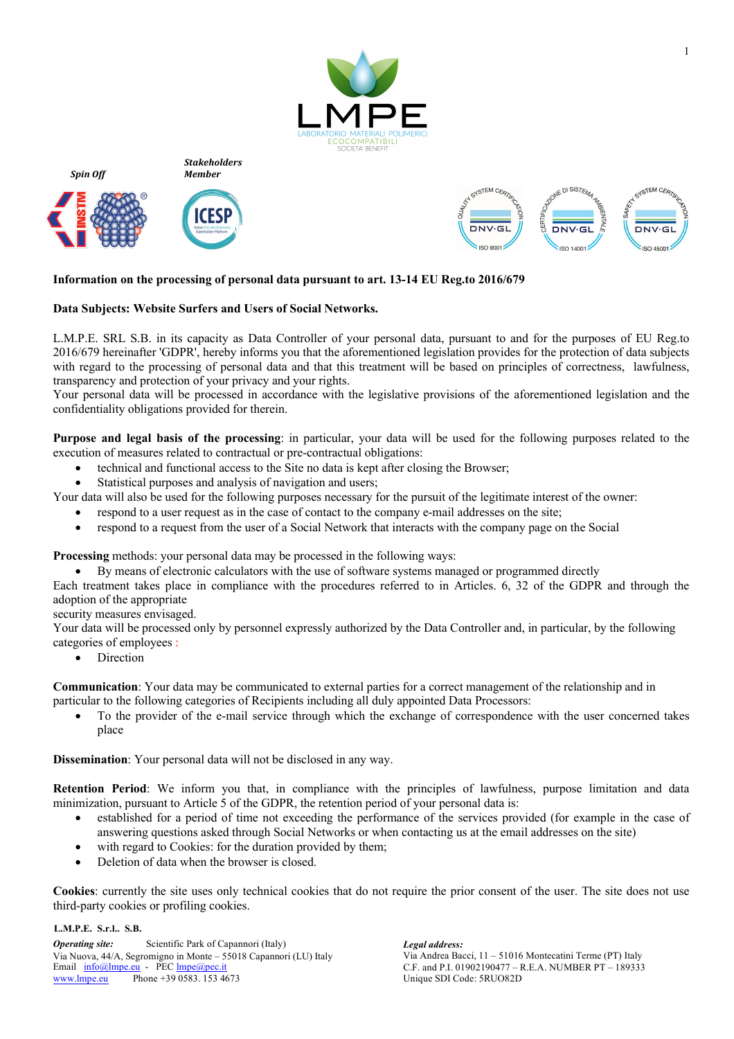

*Stakeholders Member*



*Spin Off*





# **Information on the processing of personal data pursuant to art. 13-14 EU Reg.to 2016/679**

## **Data Subjects: Website Surfers and Users of Social Networks.**

L.M.P.E. SRL S.B. in its capacity as Data Controller of your personal data, pursuant to and for the purposes of EU Reg.to 2016/679 hereinafter 'GDPR', hereby informs you that the aforementioned legislation provides for the protection of data subjects with regard to the processing of personal data and that this treatment will be based on principles of correctness, lawfulness, transparency and protection of your privacy and your rights.

Your personal data will be processed in accordance with the legislative provisions of the aforementioned legislation and the confidentiality obligations provided for therein.

**Purpose and legal basis of the processing**: in particular, your data will be used for the following purposes related to the execution of measures related to contractual or pre-contractual obligations:

- technical and functional access to the Site no data is kept after closing the Browser;
- Statistical purposes and analysis of navigation and users;

Your data will also be used for the following purposes necessary for the pursuit of the legitimate interest of the owner:

- respond to a user request as in the case of contact to the company e-mail addresses on the site;
	- respond to a request from the user of a Social Network that interacts with the company page on the Social

**Processing** methods: your personal data may be processed in the following ways:

• By means of electronic calculators with the use of software systems managed or programmed directly

Each treatment takes place in compliance with the procedures referred to in Articles. 6, 32 of the GDPR and through the adoption of the appropriate

security measures envisaged.

Your data will be processed only by personnel expressly authorized by the Data Controller and, in particular, by the following categories of employees :

• Direction

**Communication**: Your data may be communicated to external parties for a correct management of the relationship and in particular to the following categories of Recipients including all duly appointed Data Processors:

• To the provider of the e-mail service through which the exchange of correspondence with the user concerned takes place

**Dissemination**: Your personal data will not be disclosed in any way.

**Retention Period**: We inform you that, in compliance with the principles of lawfulness, purpose limitation and data minimization, pursuant to Article 5 of the GDPR, the retention period of your personal data is:

- established for a period of time not exceeding the performance of the services provided (for example in the case of answering questions asked through Social Networks or when contacting us at the email addresses on the site)
- with regard to Cookies: for the duration provided by them;
- Deletion of data when the browser is closed.

**Cookies**: currently the site uses only technical cookies that do not require the prior consent of the user. The site does not use third-party cookies or profiling cookies.

#### **L.M.P.E. S.r.l.. S.B.**

*Operating site:* Scientific Park of Capannori (Italy) *Legal address:* Via Nuova, 44/A, Segromigno in Monte – 55018 Capannori (LU) Italy Via Andrea Bacci, 11 – 51016 Montecatini Terme (PT) Italy Email  $\frac{info@lmpe.eu}{N}$  - PEC  $\frac{lmpe@pec.it}{N}$  C.F. and P.I. 01902190477 – www.lmpe.eu Phone +39 0583. 153 4673

Unique SDI Code: 5RUO82D C.F. and P.I. 01902190477 – R.E.A. NUMBER PT – 189333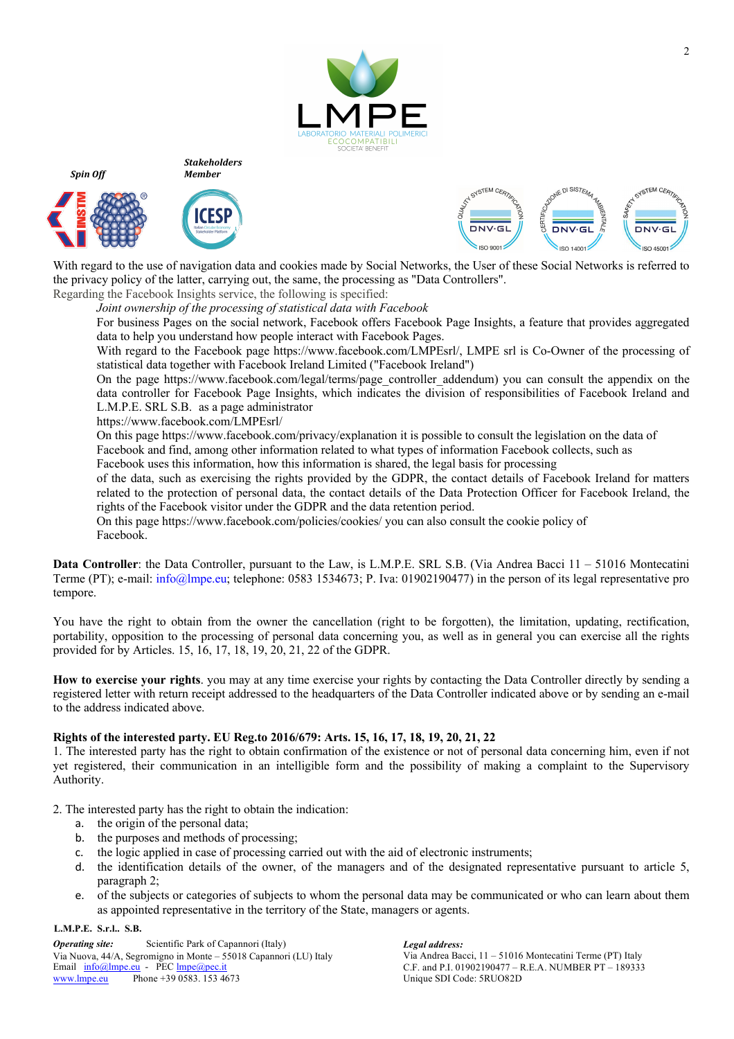

*Stakeholders Member*



*Spin Off*





With regard to the use of navigation data and cookies made by Social Networks, the User of these Social Networks is referred to the privacy policy of the latter, carrying out, the same, the processing as "Data Controllers".

Regarding the Facebook Insights service, the following is specified: *Joint ownership of the processing of statistical data with Facebook*

For business Pages on the social network, Facebook offers Facebook Page Insights, a feature that provides aggregated data to help you understand how people interact with Facebook Pages.

With regard to the Facebook page https://www.facebook.com/LMPEsrl/, LMPE srl is Co-Owner of the processing of statistical data together with Facebook Ireland Limited ("Facebook Ireland")

On the page https://www.facebook.com/legal/terms/page\_controller\_addendum) you can consult the appendix on the data controller for Facebook Page Insights, which indicates the division of responsibilities of Facebook Ireland and L.M.P.E. SRL S.B. as a page administrator

https://www.facebook.com/LMPEsrl/

On this page https://www.facebook.com/privacy/explanation it is possible to consult the legislation on the data of Facebook and find, among other information related to what types of information Facebook collects, such as Facebook uses this information, how this information is shared, the legal basis for processing

of the data, such as exercising the rights provided by the GDPR, the contact details of Facebook Ireland for matters related to the protection of personal data, the contact details of the Data Protection Officer for Facebook Ireland, the rights of the Facebook visitor under the GDPR and the data retention period.

On this page https://www.facebook.com/policies/cookies/ you can also consult the cookie policy of Facebook.

**Data Controller**: the Data Controller, pursuant to the Law, is L.M.P.E. SRL S.B. (Via Andrea Bacci 11 – 51016 Montecatini Terme (PT); e-mail: info@lmpe.eu; telephone: 0583 1534673; P. Iva: 01902190477) in the person of its legal representative pro tempore.

You have the right to obtain from the owner the cancellation (right to be forgotten), the limitation, updating, rectification, portability, opposition to the processing of personal data concerning you, as well as in general you can exercise all the rights provided for by Articles. 15, 16, 17, 18, 19, 20, 21, 22 of the GDPR.

**How to exercise your rights**. you may at any time exercise your rights by contacting the Data Controller directly by sending a registered letter with return receipt addressed to the headquarters of the Data Controller indicated above or by sending an e-mail to the address indicated above.

# **Rights of the interested party. EU Reg.to 2016/679: Arts. 15, 16, 17, 18, 19, 20, 21, 22**

1. The interested party has the right to obtain confirmation of the existence or not of personal data concerning him, even if not yet registered, their communication in an intelligible form and the possibility of making a complaint to the Supervisory Authority.

2. The interested party has the right to obtain the indication:

- a. the origin of the personal data;
- b. the purposes and methods of processing;
- c. the logic applied in case of processing carried out with the aid of electronic instruments;
- d. the identification details of the owner, of the managers and of the designated representative pursuant to article 5, paragraph 2;
- e. of the subjects or categories of subjects to whom the personal data may be communicated or who can learn about them as appointed representative in the territory of the State, managers or agents.

### **L.M.P.E. S.r.l.. S.B.**

*Operating site:* Scientific Park of Capannori (Italy) *Legal address:* Via Nuova, 44/A, Segromigno in Monte – 55018 Capannori (LU) Italy Via Andrea Bacci, 11 – 51016 Montecatini Terme (PT) Italy Email  $\frac{info@lmpe.eu}{N}$  - PEC  $\frac{lmpe@pec.it}{N}$  C.F. and P.I. 01902190477 – www.lmpe.eu Phone +39 0583. 153 4673

Unique SDI Code: 5RUO82D C.F. and P.I. 01902190477 – R.E.A. NUMBER PT – 189333